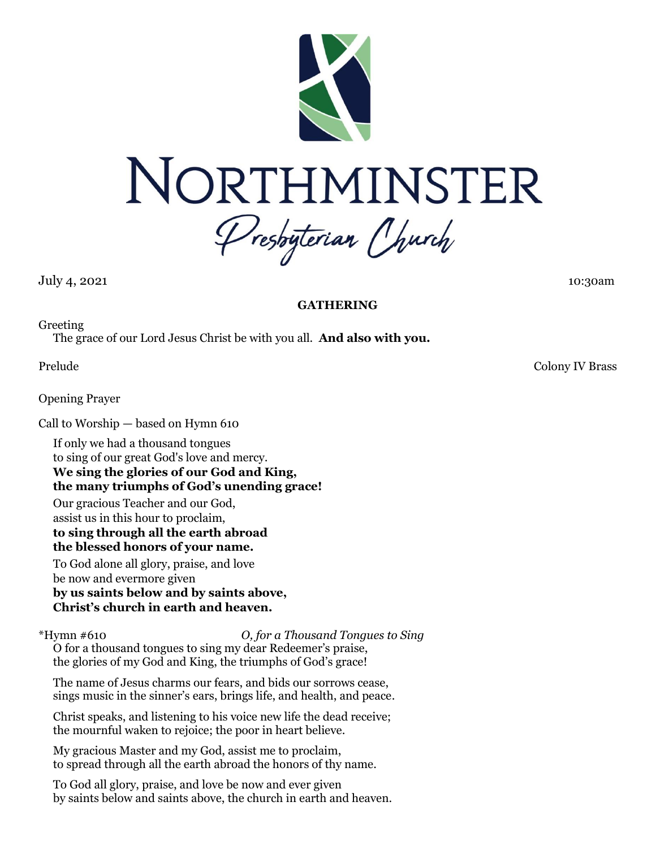



Presbyterian Church

July 4, 2021 10:30am

# **GATHERING**

Greeting

The grace of our Lord Jesus Christ be with you all. **And also with you.**

Opening Prayer

Call to Worship — based on Hymn 610

If only we had a thousand tongues to sing of our great God's love and mercy. **We sing the glories of our God and King, the many triumphs of God's unending grace!**

Our gracious Teacher and our God, assist us in this hour to proclaim,

**to sing through all the earth abroad the blessed honors of your name.**

To God alone all glory, praise, and love be now and evermore given **by us saints below and by saints above,**

**Christ's church in earth and heaven.**

\*Hymn #610 *O, for a Thousand Tongues to Sing*

O for a thousand tongues to sing my dear Redeemer's praise, the glories of my God and King, the triumphs of God's grace!

The name of Jesus charms our fears, and bids our sorrows cease, sings music in the sinner's ears, brings life, and health, and peace.

Christ speaks, and listening to his voice new life the dead receive; the mournful waken to rejoice; the poor in heart believe.

My gracious Master and my God, assist me to proclaim, to spread through all the earth abroad the honors of thy name.

To God all glory, praise, and love be now and ever given by saints below and saints above, the church in earth and heaven.

Prelude Colony IV Brass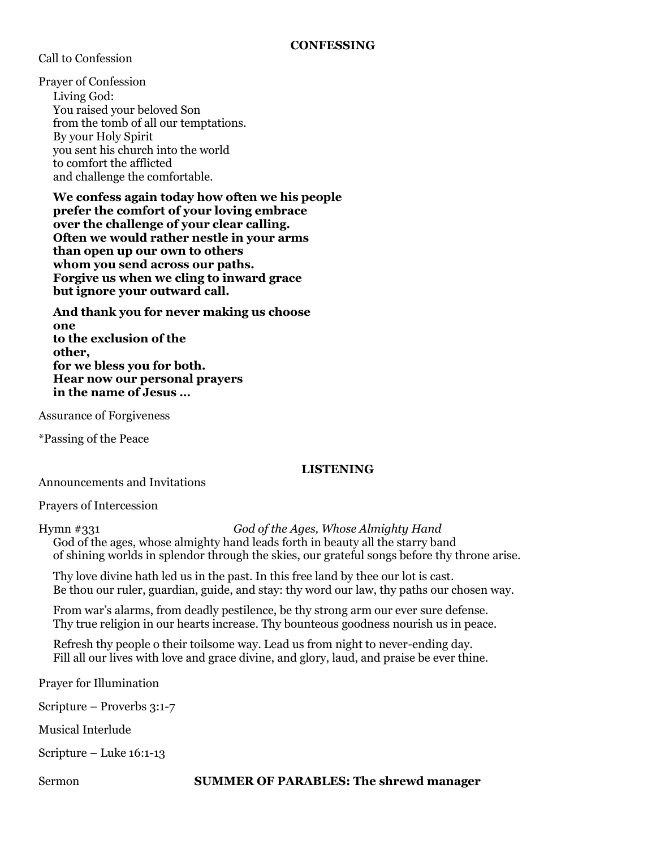Call to Confession

Prayer of Confession Living God: You raised your beloved Son from the tomb of all our temptations. By your Holy Spirit you sent his church into the world to comfort the afflicted and challenge the comfortable.

**We confess again today how often we his people prefer the comfort of your loving embrace over the challenge of your clear calling. Often we would rather nestle in your arms than open up our own to others whom you send across our paths. Forgive us when we cling to inward grace but ignore your outward call.**

**And thank you for never making us choose one to the exclusion of the other, for we bless you for both. Hear now our personal prayers in the name of Jesus …**

Assurance of Forgiveness

\*Passing of the Peace

#### **LISTENING**

Announcements and Invitations

Prayers of Intercession

Hymn #331 *God of the Ages, Whose Almighty Hand* God of the ages, whose almighty hand leads forth in beauty all the starry band of shining worlds in splendor through the skies, our grateful songs before thy throne arise.

Thy love divine hath led us in the past. In this free land by thee our lot is cast. Be thou our ruler, guardian, guide, and stay: thy word our law, thy paths our chosen way.

From war's alarms, from deadly pestilence, be thy strong arm our ever sure defense. Thy true religion in our hearts increase. Thy bounteous goodness nourish us in peace.

Refresh thy people o their toilsome way. Lead us from night to never-ending day. Fill all our lives with love and grace divine, and glory, laud, and praise be ever thine.

Prayer for Illumination

Scripture – Proverbs 3:1-7

Musical Interlude

Scripture – Luke 16:1-13

Sermon **SUMMER OF PARABLES: The shrewd manager**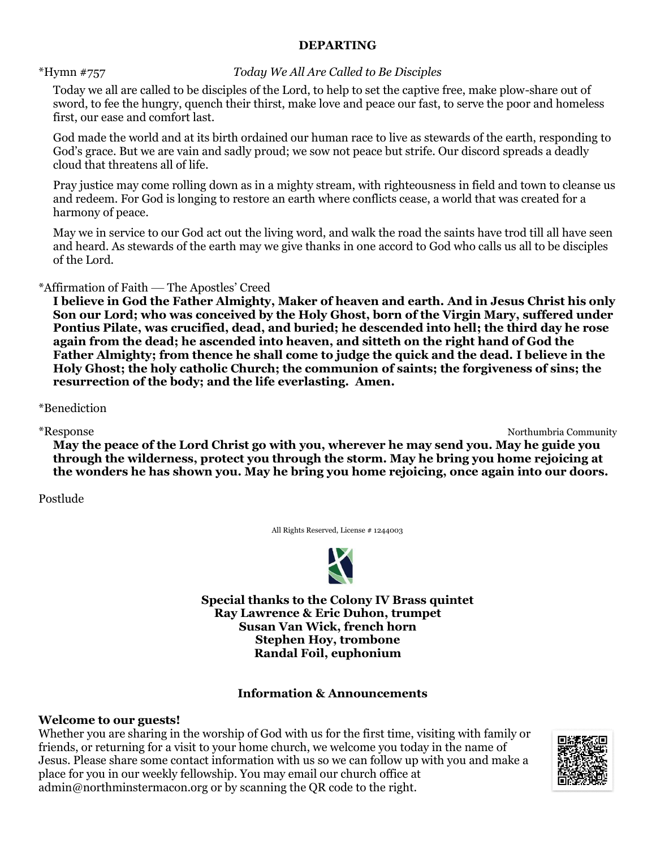## **DEPARTING**

## \*Hymn #757 *Today We All Are Called to Be Disciples*

Today we all are called to be disciples of the Lord, to help to set the captive free, make plow-share out of sword, to fee the hungry, quench their thirst, make love and peace our fast, to serve the poor and homeless first, our ease and comfort last.

God made the world and at its birth ordained our human race to live as stewards of the earth, responding to God's grace. But we are vain and sadly proud; we sow not peace but strife. Our discord spreads a deadly cloud that threatens all of life.

Pray justice may come rolling down as in a mighty stream, with righteousness in field and town to cleanse us and redeem. For God is longing to restore an earth where conflicts cease, a world that was created for a harmony of peace.

May we in service to our God act out the living word, and walk the road the saints have trod till all have seen and heard. As stewards of the earth may we give thanks in one accord to God who calls us all to be disciples of the Lord.

\*Affirmation of Faith — The Apostles' Creed

**I believe in God the Father Almighty, Maker of heaven and earth. And in Jesus Christ his only Son our Lord; who was conceived by the Holy Ghost, born of the Virgin Mary, suffered under Pontius Pilate, was crucified, dead, and buried; he descended into hell; the third day he rose again from the dead; he ascended into heaven, and sitteth on the right hand of God the Father Almighty; from thence he shall come to judge the quick and the dead. I believe in the Holy Ghost; the holy catholic Church; the communion of saints; the forgiveness of sins; the resurrection of the body; and the life everlasting. Amen.**

\*Benediction

\*Response Northumbria Community

**May the peace of the Lord Christ go with you, wherever he may send you. May he guide you through the wilderness, protect you through the storm. May he bring you home rejoicing at the wonders he has shown you. May he bring you home rejoicing, once again into our doors.**

Postlude

All Rights Reserved, License # 1244003



**Special thanks to the Colony IV Brass quintet Ray Lawrence & Eric Duhon, trumpet Susan Van Wick, french horn Stephen Hoy, trombone Randal Foil, euphonium**

# **Information & Announcements**

## **Welcome to our guests!**

Whether you are sharing in the worship of God with us for the first time, visiting with family or friends, or returning for a visit to your home church, we welcome you today in the name of Jesus. Please share some contact information with us so we can follow up with you and make a place for you in our weekly fellowship. You may email our church office at admin@northminstermacon.org or by scanning the QR code to the right.

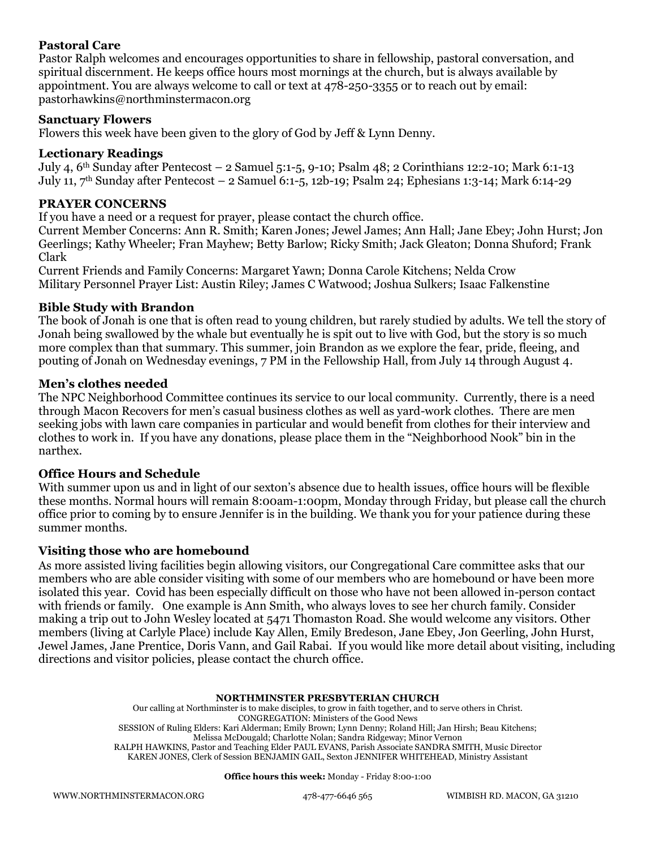## **Pastoral Care**

Pastor Ralph welcomes and encourages opportunities to share in fellowship, pastoral conversation, and spiritual discernment. He keeps office hours most mornings at the church, but is always available by appointment. You are always welcome to call or text at 478-250-3355 or to reach out by email: pastorhawkins@northminstermacon.org

### **Sanctuary Flowers**

Flowers this week have been given to the glory of God by Jeff & Lynn Denny.

### **Lectionary Readings**

July 4, 6th Sunday after Pentecost – 2 Samuel 5:1-5, 9-10; Psalm 48; 2 Corinthians 12:2-10; Mark 6:1-13 July 11, 7th Sunday after Pentecost – 2 Samuel 6:1-5, 12b-19; Psalm 24; Ephesians 1:3-14; Mark 6:14-29

## **PRAYER CONCERNS**

If you have a need or a request for prayer, please contact the church office.

Current Member Concerns: Ann R. Smith; Karen Jones; Jewel James; Ann Hall; Jane Ebey; John Hurst; Jon Geerlings; Kathy Wheeler; Fran Mayhew; Betty Barlow; Ricky Smith; Jack Gleaton; Donna Shuford; Frank Clark

Current Friends and Family Concerns: Margaret Yawn; Donna Carole Kitchens; Nelda Crow Military Personnel Prayer List: Austin Riley; James C Watwood; Joshua Sulkers; Isaac Falkenstine

### **Bible Study with Brandon**

The book of Jonah is one that is often read to young children, but rarely studied by adults. We tell the story of Jonah being swallowed by the whale but eventually he is spit out to live with God, but the story is so much more complex than that summary. This summer, join Brandon as we explore the fear, pride, fleeing, and pouting of Jonah on Wednesday evenings, 7 PM in the Fellowship Hall, from July 14 through August 4.

#### **Men's clothes needed**

The NPC Neighborhood Committee continues its service to our local community. Currently, there is a need through Macon Recovers for men's casual business clothes as well as yard-work clothes. There are men seeking jobs with lawn care companies in particular and would benefit from clothes for their interview and clothes to work in. If you have any donations, please place them in the "Neighborhood Nook" bin in the narthex.

#### **Office Hours and Schedule**

With summer upon us and in light of our sexton's absence due to health issues, office hours will be flexible these months. Normal hours will remain 8:00am-1:00pm, Monday through Friday, but please call the church office prior to coming by to ensure Jennifer is in the building. We thank you for your patience during these summer months.

#### **Visiting those who are homebound**

As more assisted living facilities begin allowing visitors, our Congregational Care committee asks that our members who are able consider visiting with some of our members who are homebound or have been more isolated this year. Covid has been especially difficult on those who have not been allowed in-person contact with friends or family. One example is Ann Smith, who always loves to see her church family. Consider making a trip out to John Wesley located at 5471 Thomaston Road. She would welcome any visitors. Other members (living at Carlyle Place) include Kay Allen, Emily Bredeson, Jane Ebey, Jon Geerling, John Hurst, Jewel James, Jane Prentice, Doris Vann, and Gail Rabai. If you would like more detail about visiting, including directions and visitor policies, please contact the church office.

#### **NORTHMINSTER PRESBYTERIAN CHURCH**

Our calling at Northminster is to make disciples, to grow in faith together, and to serve others in Christ. CONGREGATION: Ministers of the Good News SESSION of Ruling Elders: Kari Alderman; Emily Brown; Lynn Denny; Roland Hill; Jan Hirsh; Beau Kitchens; Melissa McDougald; Charlotte Nolan; Sandra Ridgeway; Minor Vernon RALPH HAWKINS, Pastor and Teaching Elder PAUL EVANS, Parish Associate SANDRA SMITH, Music Director KAREN JONES, Clerk of Session BENJAMIN GAIL, Sexton JENNIFER WHITEHEAD, Ministry Assistant

**Office hours this week:** Monday - Friday 8:00-1:00